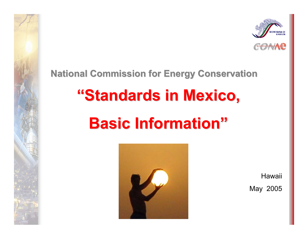

#### **National Commission for Energy Conservation National Commission for Energy Conservation**

# **"Standards in Mexico, Standards in Mexico,**

# **Basic Information" Basic Information"**



Hawaii

May 2005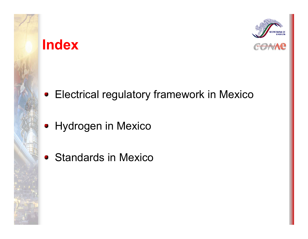#### **Index**



Electrical regulatory framework in Mexico

- Hydrogen in Mexico
- Standards in Mexico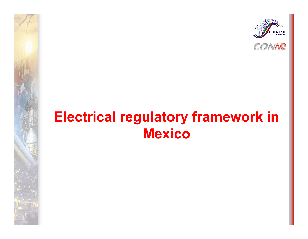



#### **Electrical regulatory framework in Mexico**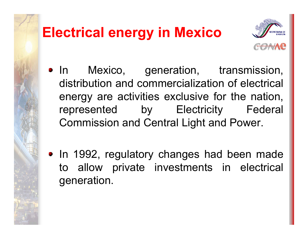# **Electrical energy in Mexico**



- In Mexico, generation, transmission, distribution and commercialization of electrical energy are activities exclusive for the nation, represented by Electricity Federal Commission and Central Light and Power.
- In 1992, regulatory changes had been made to allow private investments in electrical generation.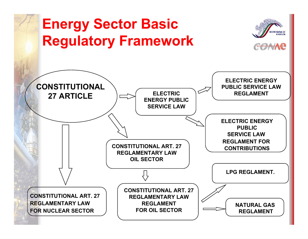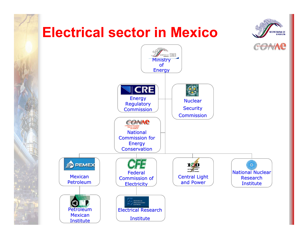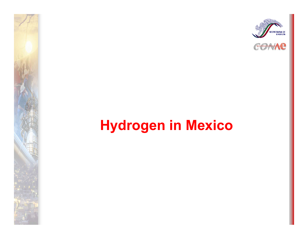



## **Hydrogen in Mexico**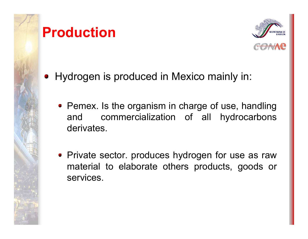



- Hydrogen is produced in Mexico mainly in:
	- Pemex. Is the organism in charge of use, handling and commercialization of all hydrocarbons derivates.
	- Private sector. produces hydrogen for use as raw material to elaborate others products, goods or services.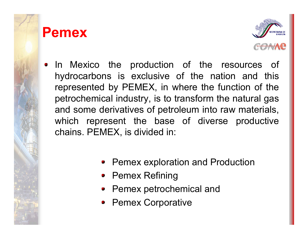#### **Pemex**



- In Mexico the production of the resources of hydrocarbons is exclusive of the nation and this represented by PEMEX, in where the function of the petrochemical industry, is to transform the natural gas and some derivatives of petroleum into raw materials, which represent the base of diverse productive chains. PEMEX, is divided in:
	- Pemex exploration and Production
	- Pemex Refining
	- Pemex petrochemical and
	- Pemex Corporative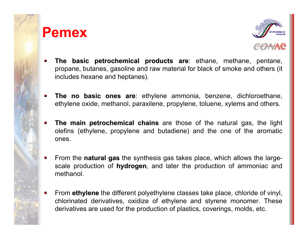#### **Pemex**



- **The basic petrochemical products are** ethane, methane, pentane,  $\blacksquare$ propane, butanes, gasoline and raw material for black of smoke and others (it includes hexane and heptanes).
- **The no basic ones are**: ethylene ammonia, benzene, dichloroethane, ο. ethylene oxide, methanol, paraxilene, propylene, toluene, xylems and others.
- **The main petrochemical chains** are those of the natural gas, the light olefins (ethylene, propylene and butadiene) and the one of the aromatic ones.
- From the **natural gas** the synthesis gas takes place, which allows the largescale production of **hydrogen**, and later the production of ammoniac and methanol.
- From **ethylene** the different polyethylene classes take place, chloride of vinyl,  $\bullet$ chlorinated derivatives, oxidize of ethylene and styrene monomer. These derivatives are used for the production of plastics, coverings, molds, etc.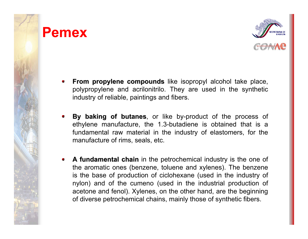#### **Pemex**



- **From propylene compounds** like isopropyl alcohol take place, polypropylene and acrilonitrilo. They are used in the synthetic industry of reliable, paintings and fibers.
- By baking of butanes, or like by-product of the process of ethylene manufacture, the 1.3-butadiene is obtained that is a fundamental raw material in the industry of elastomers, for the manufacture of rims, seals, etc.
- **A fundamental chain** in the petrochemical industry is the one of  $\bullet$ the aromatic ones (benzene, toluene and xylenes). The benzene is the base of production of ciclohexane (used in the industry of nylon) and of the cumeno (used in the industrial production of acetone and fenol). Xylenes, on the other hand, are the beginning of diverse petrochemical chains, mainly those of synthetic fibers.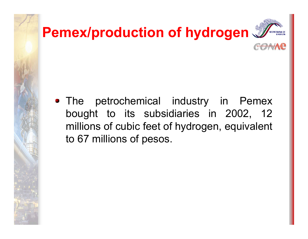

• The petrochemical industry in Pemex bought to its subsidiaries in 2002, 12 millions of cubic feet of hydrogen, equivalent to 67 millions of pesos.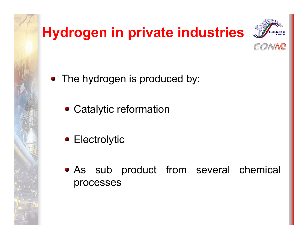# **Hydrogen in private industries**





- The hydrogen is produced by:
	- Catalytic reformation
	- Electrolytic
	- As sub product from several chemical processes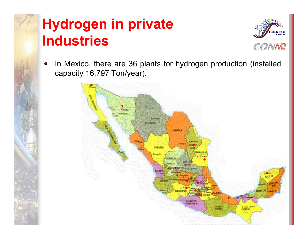## **Hydrogen in private Industries**



In Mexico, there are 36 plants for hydrogen production (installed  $\bullet$ capacity 16,797 Ton/year).

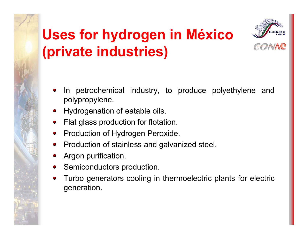# **Uses for hydrogen in México (private industries)**



- In petrochemical industry, to produce polyethylene and  $\blacksquare$ polypropylene.
- Hydrogenation of eatable oils.
- Flat glass production for flotation.  $\bullet$
- Production of Hydrogen Peroxide.  $\blacksquare$
- Production of stainless and galv anized steel.
- Argon purification.
- Semiconductors production.  $\blacksquare$
- Turbo generators cooling in thermoelectric plants for electric  $\blacksquare$ generation.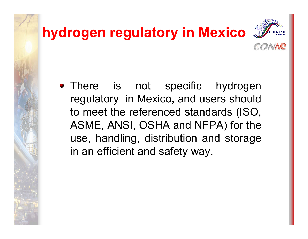# **hydrogen regulatory in Mexico**



• There is not specific hydrogen regulatory in Mexico, and users should to meet the referenced standards (ISO, ASME, ANSI, OSHA and NFPA) for the use, handling, distribution and storage in an efficient and safety way.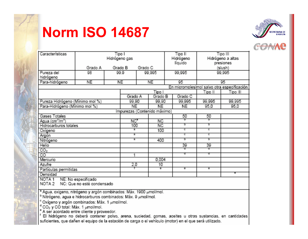### **Norm ISO 14687**





| Características<br>Tipo I                   |                    |      |         |         |          | Tipo II<br>Tipo III |           |                   |        |  |
|---------------------------------------------|--------------------|------|---------|---------|----------|---------------------|-----------|-------------------|--------|--|
|                                             | Hidrogeno gas      |      |         |         |          |                     | Hidrogeno | Hidrógeno a altas |        |  |
|                                             |                    |      |         |         |          |                     | líquido.  | presiones         |        |  |
|                                             | Grado A<br>Grado B |      |         | Grado C |          |                     |           | (slush)           |        |  |
| Pureza del                                  | 98                 | 99.9 |         | 99,995  |          |                     | 99,995    | 99.995            |        |  |
| hidrógeno                                   |                    |      |         |         |          |                     |           |                   |        |  |
| Para-hidrogeno                              | NE                 |      | NE      |         | NE.      |                     | 95        | 95                |        |  |
| En micromoles/mol salvo otra especificación |                    |      |         |         |          |                     |           |                   |        |  |
|                                             | Tipo I             |      |         |         |          | Tipo III            | Tipo III  |                   |        |  |
|                                             |                    |      | Grado A |         | Grado B  |                     | Grado C   |                   |        |  |
| Pureza Hidrógeno (Mínimo mol %)             |                    |      | 99,90   |         | 99,90    |                     | 99,995    | 99,995            | 99,995 |  |
| Para-Hidrógeno (Mínimo mol %)               |                    |      | NE.     |         | NE.      |                     | NE.       | 95,0              | 95,0   |  |
| Impurezas (Contenido máximo)                |                    |      |         |         |          |                     |           |                   |        |  |
| <b>Gases Totales</b>                        |                    |      |         |         |          |                     | 50        | 50                |        |  |
| Agua (cm <sup>e</sup> /m <sup>e</sup> )     |                    |      | NC"     |         | NC.      |                     | Đ.        | Ø.                |        |  |
| Hidrocarburos totales                       |                    |      | $100 -$ |         | NC.      |                     | ы         | ь                 |        |  |
| Oxigeno                                     |                    |      | s.      |         | 100      |                     | ¢.        | ¢.                |        |  |
| Argon                                       |                    |      | ä.      |         |          |                     | ē.        | ē.                |        |  |
| Nitrogeno                                   |                    |      | ä.      |         | 400      |                     | ы         | ь                 |        |  |
| <b>Helio</b>                                |                    |      |         |         |          |                     | 39        | 39                |        |  |
| CO <sub>2</sub>                             |                    |      |         |         |          |                     |           | g,                |        |  |
| $\overline{CO}$                             |                    |      | 1       |         |          |                     | œ.        | G.                |        |  |
| Mercurio                                    |                    |      |         |         | 0,004    |                     |           |                   |        |  |
| <b>Azufre</b>                               |                    |      | 2,0     |         | $10^{-}$ |                     |           |                   |        |  |
| Partículas permitidas                       |                    |      |         |         | ۰        |                     | ٠         | ۰                 |        |  |
| Densidad                                    |                    |      |         |         |          |                     |           |                   |        |  |
| NOTA <sub>1</sub><br>NE: No especificado    |                    |      |         |         |          |                     |           |                   |        |  |
| NOTA 2<br>NC: Que no esté condensado        |                    |      |         |         |          |                     |           |                   |        |  |
|                                             |                    |      |         |         |          |                     |           |                   |        |  |

<sup>a</sup> Agua, oxigeno, nitrógeno y argón combinados: Máx. 1900 umol/mol.

<sup>b</sup> Nitrógeno, agua e hidrocarburos combinados: Máx. 9 µmol/mol.

<sup>e</sup> Oxígeno y argón combinados: Máx. 1 µmol/mol.

 $\frac{4}{3}$ CO $\frac{3}{2}$  y CO total: Máx. 1  $\mu$ mol/mol.

" A ser acordado entre cliente y proveedor.

<sup>f</sup> El hidrógeno no deberá contener polvo, arena, suciedad, gomas, aceites u otras sustancias, en cantidades suficientes, que dañen el equipo de la estación de carga o el vehículo (motor) en el que será utilizado.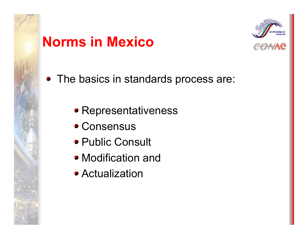## **Norms in Mexico**



• The basics in standards process are:

- Representativeness
- Consensus
- Public Consult
- Modification and
- Actualization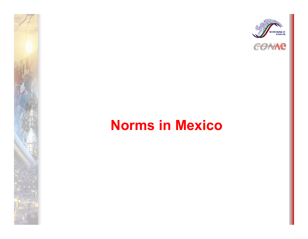



### **Norms in Mexico**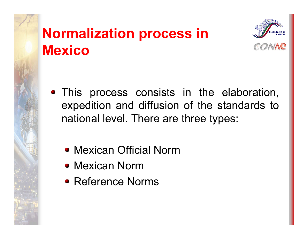## **Normalization process in Mexico**



- This process consists in the elaboration, expedition and diffusion of the standards to national level. There are three types:
	- Mexican Official Norm
	- Mexican Norm
	- Reference Norms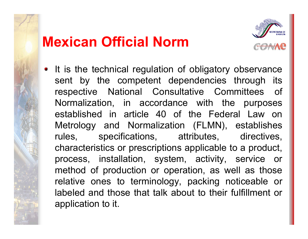### **Mexican Official Norm**



• It is the technical regulation of obligatory observance sent by the competent dependencies through its respective National Consultative Committees of Normalization, in accordance with the purposes established in article 40 of the Federal Law on Metrology and Normalization (FLMN), establishes rules, specifications, attributes, directives, characteristics or prescriptions applicable to a product, process, installation, system, activity, service or method of production or operation, as well as those relative ones to terminology, packing noticeable or labeled and those that talk about to their fulfillment or application to it.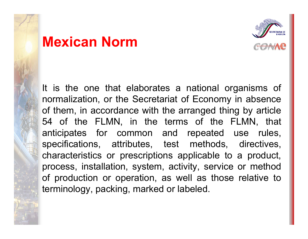#### **Mexican Norm**



It is the one that elaborates a national organisms of normalization, or the Secretariat of Economy in absence of them, in accordance with the arranged thing by article 54 of the FLMN, in the terms of the FLMN, that anticipates for common and repeated use rules, specifications, attributes, test methods, directives, characteristics or prescriptions applicable to a product, process, installation, system, activity, service or method of production or operation, as well as those relative to terminology, packing, marked or labeled.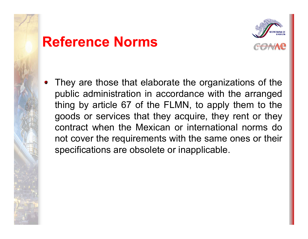#### **Reference Norms**



• They are those that elaborate the organizations of the public administration in accordance with the arranged thing by article 67 of the FLMN, to apply them to the goods or services that they acquire, they rent or they contract when the Mexican or international norms do not cover the requirements with the same ones or their specifications are obsolete or inapplicable.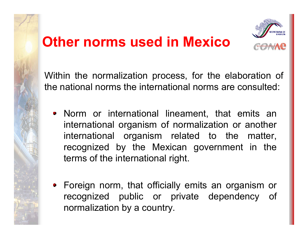## **Other norms used in Mexico**



Within the normalization process, for the elaboration of the national norms the international norms are consulted:

- Norm or international lineament, that emits an international organism of normalization or another international organism related to the matter, recognized by the Mexican government in the terms of the international right.
- Foreign norm, that officially emits an organism or recognized public or private dependency of normalization by a country.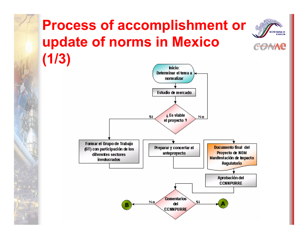## **Process of accomplishment or update of norms in Mexico (1/3)**

**CRETARIA DE ENFRGÍA** 

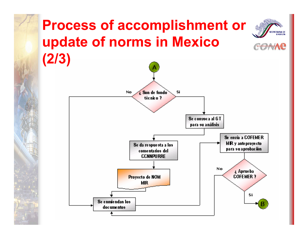#### **Process of accomplishment or CRETARIA DE update of norms in Mexico (2/3)**

**ENFRGÍA** 

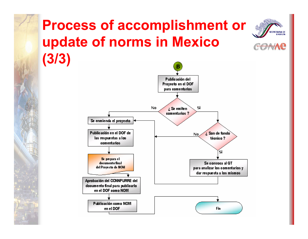## **Process of accomplishment or update of norms in Mexico (3/3)**

**CRETARIA DE ENFRGÍA** 

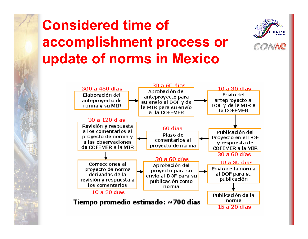## **Considered time of accomplishment process or update of norms in Mexico**





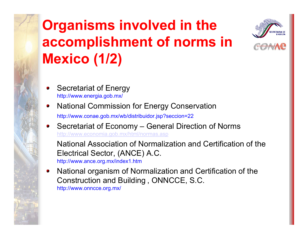# **Organisms involved in the accomplishment of norms in Mexico (1/2)**



- Secretariat of Energy http://ww w.energia.gob.mx/
- National Commission for Energy Conservation  $\bullet$

http://www.conae.gob.mx/wb/distribuidor.jsp?seccion=22

Secretariat of Economy – General Direction of Norms <http://www.economia.gob.mx/html/normas.asp>

National Association of Normalization and Certification of the Electrical Sector, (ANCE) A.C. http://ww w.ance.org.mx/index1.htm

National organism of Normalization and Certification of the  $\bullet$ Construction and Building , ONNCCE, S.C. http://www.onncce.org.mx/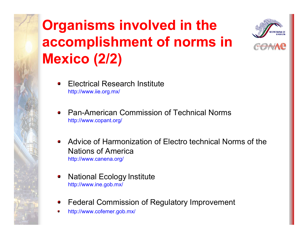# **Organisms involved in the accomplishment of norms in Mexico (2/2)**



- Electrical Research Institute  $\bullet$ http://www.iie.org.mx/
- Pan-American Commission of Technical Norms $\bullet$ http://www.copant.org/
- Advice of Harmonization of Electro technical Norms of the Nations of Americahttp://ww w.canena.org/
- National Ecology Institu t e http://ww w.ine.gob.mx/
- Federal Commission of Regulatory Improvement ۰
- http://www.cofemer.gob.mx/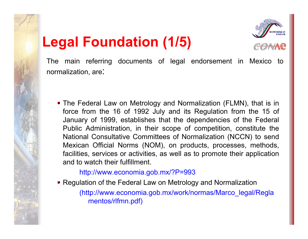## **Legal Foundation (1/5)**



The main referring documents of legal endorsement in Mexico to normalization, are:

• The Federal Law on Metrology and Normalization (FLMN), that is in force from the 16 of 1992 July and its Regulation from the 15 of January of 1999, establishes that the dependencies of the Federal Public Administration, in their scope of competition, constitute the National Consultative Committees of Normalization (NCCN) to send Mexican Official Norms (NOM), on products, processes, methods, facilities, services or activities, as well as t o promote their application and to watch their fulfillment.

http://www.economia.gob.mx/?P=993

• Regulation of the Federal Law on Metrology and Normalization

(http://www.economia.gob.mx/work/normas/Marco\_legal/Regla mentos/rlfmn.pdf)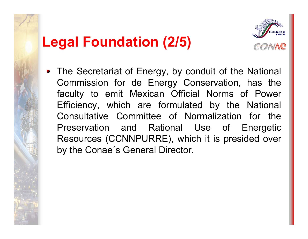## **Legal Foundation (2/5)**



• The Secretariat of Energy, by conduit of the National Commission for de Energy Conservation, has the faculty to emit Mexican Official Norms of Power Efficiency, which are formulated by the National Consultative Committee of Normalization for the Preservation and Rational Use of Energetic Resources (CCNNPURRE), which it is presided over by the Conae´s General Director.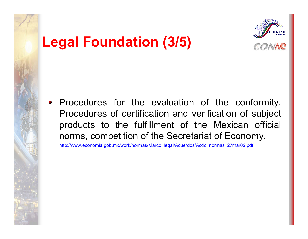

### **Legal Foundation (3/5)**

• Procedures for the evaluation of the conformity. Procedures of certification and verification of subject products to the fulfillment of the Mexican official norms, competition of the Secretariat of Economy.

http://www.economia.gob.mx/work/normas/Marco\_legal/Acuerdos/Acdo\_normas\_27mar02.pdf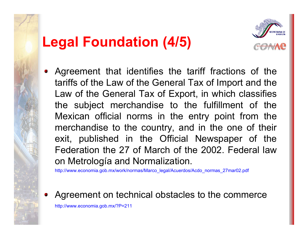### **Legal Foundation (4/5)**



Agreement that identifies the tariff fractions of the tariffs of the Law of the General Tax of Import and the Law of the General Tax of Export, in which classifies the subject merchandise to the fulfillment of the Mexican official norms in the entry point from the merchandise to the country, and in the one of their exit, published in the Official Newspaper of the Federation the 27 of March of the 2002. Federal law on Metrología and Normalization.

http://www.economia.gob.mx/work/normas/Marco\_legal/Acuerdos/Acdo\_normas\_27mar02.pdf

Agreement on technical obstacles to the commerce

http://www.economia.gob.mx/?P=211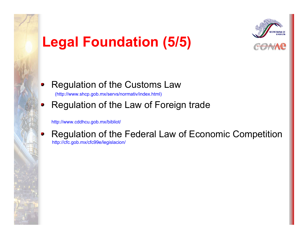## **Legal Foundation (5/5)**



#### Regulation of the Customs Law  $\bullet$

(http://www.shcp.gob.mx/servs/normativ/in d ex.html)

#### Regulation of the Law of Foreign trade  $\bullet$

http://www.cddhcu.gob.mx/bibliot/

Regulation of the Federal Law of Economic Competition  $\bullet$ 

http://cfc.gob.mx/cfc99e/l e gislacion/